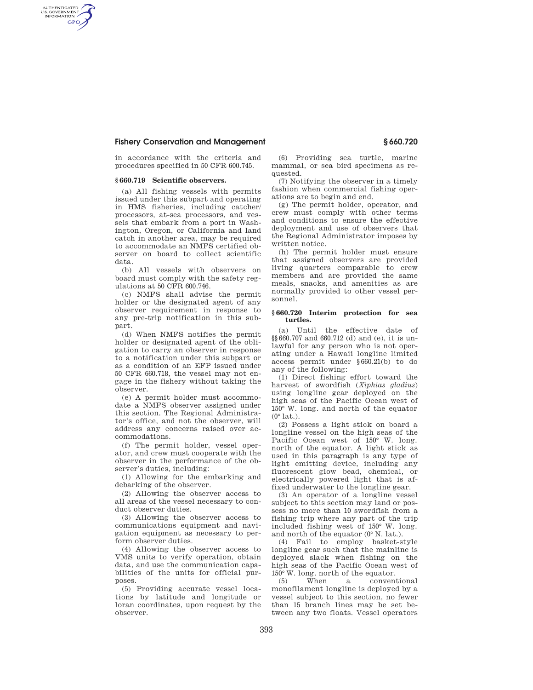## **Fishery Conservation and Management § 660.720**

in accordance with the criteria and procedures specified in 50 CFR 600.745.

## **§ 660.719 Scientific observers.**

AUTHENTICATED<br>U.S. GOVERNMENT<br>INFORMATION **GPO** 

> (a) All fishing vessels with permits issued under this subpart and operating in HMS fisheries, including catcher/ processors, at-sea processors, and vessels that embark from a port in Washington, Oregon, or California and land catch in another area, may be required to accommodate an NMFS certified observer on board to collect scientific data.

(b) All vessels with observers on board must comply with the safety regulations at 50 CFR 600.746.

(c) NMFS shall advise the permit holder or the designated agent of any observer requirement in response to any pre-trip notification in this subpart.

(d) When NMFS notifies the permit holder or designated agent of the obligation to carry an observer in response to a notification under this subpart or as a condition of an EFP issued under 50 CFR 660.718, the vessel may not engage in the fishery without taking the observer.

(e) A permit holder must accommodate a NMFS observer assigned under this section. The Regional Administrator's office, and not the observer, will address any concerns raised over accommodations.

(f) The permit holder, vessel operator, and crew must cooperate with the observer in the performance of the observer's duties, including:

(1) Allowing for the embarking and debarking of the observer.

(2) Allowing the observer access to all areas of the vessel necessary to conduct observer duties.

(3) Allowing the observer access to communications equipment and navigation equipment as necessary to perform observer duties.

(4) Allowing the observer access to VMS units to verify operation, obtain data, and use the communication capabilities of the units for official purposes.

(5) Providing accurate vessel locations by latitude and longitude or loran coordinates, upon request by the observer.

(6) Providing sea turtle, marine mammal, or sea bird specimens as requested.

(7) Notifying the observer in a timely fashion when commercial fishing operations are to begin and end.

(g) The permit holder, operator, and crew must comply with other terms and conditions to ensure the effective deployment and use of observers that the Regional Administrator imposes by written notice.

(h) The permit holder must ensure that assigned observers are provided living quarters comparable to crew members and are provided the same meals, snacks, and amenities as are normally provided to other vessel personnel.

#### **§ 660.720 Interim protection for sea turtles.**

(a) Until the effective date of §§660.707 and 660.712 (d) and (e), it is unlawful for any person who is not operating under a Hawaii longline limited access permit under §660.21(b) to do any of the following:

(1) Direct fishing effort toward the harvest of swordfish (*Xiphias gladius*) using longline gear deployed on the high seas of the Pacific Ocean west of 150° W. long. and north of the equator  $(0°$  lat.).

(2) Possess a light stick on board a longline vessel on the high seas of the Pacific Ocean west of 150° W. long. north of the equator. A light stick as used in this paragraph is any type of light emitting device, including any fluorescent glow bead, chemical, or electrically powered light that is affixed underwater to the longline gear.

(3) An operator of a longline vessel subject to this section may land or possess no more than 10 swordfish from a fishing trip where any part of the trip included fishing west of 150° W. long. and north of the equator (0° N. lat.).

(4) Fail to employ basket-style longline gear such that the mainline is deployed slack when fishing on the high seas of the Pacific Ocean west of 150° W. long. north of the equator.

(5) When a conventional monofilament longline is deployed by a vessel subject to this section, no fewer than 15 branch lines may be set between any two floats. Vessel operators